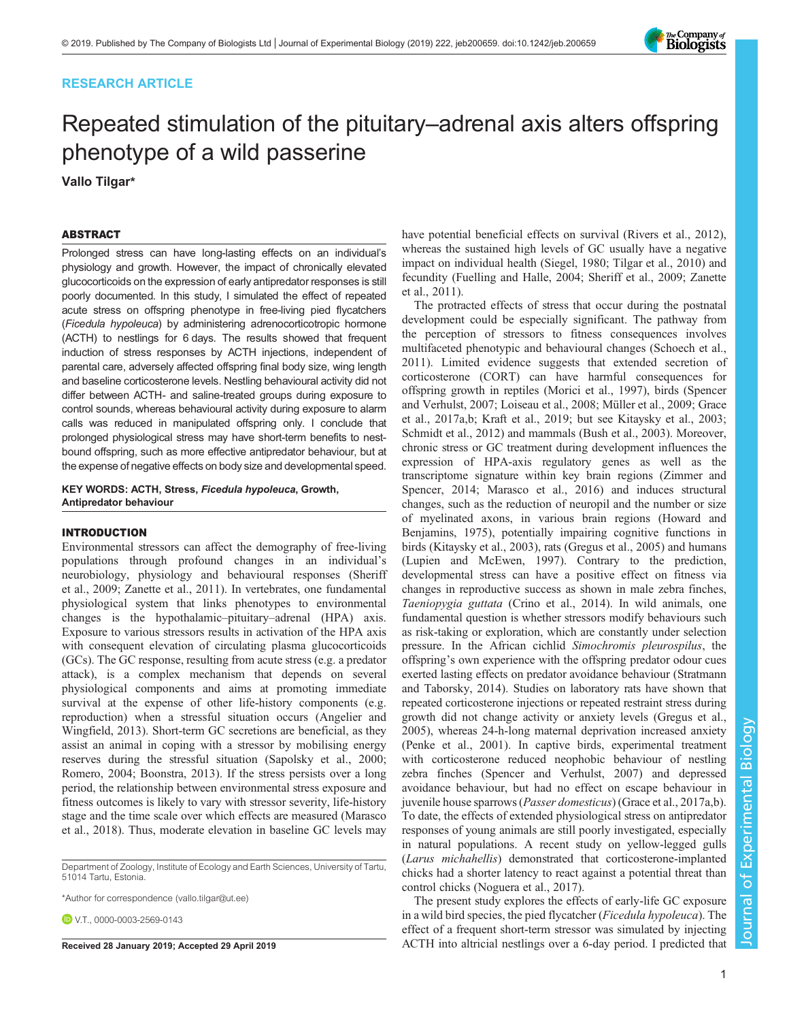# RESEARCH ARTICLE

# Repeated stimulation of the pituitary–adrenal axis alters offspring phenotype of a wild passerine

Vallo Tilgar\*

# ABSTRACT

Prolonged stress can have long-lasting effects on an individual's physiology and growth. However, the impact of chronically elevated glucocorticoids on the expression of early antipredator responses is still poorly documented. In this study, I simulated the effect of repeated acute stress on offspring phenotype in free-living pied flycatchers (Ficedula hypoleuca) by administering adrenocorticotropic hormone (ACTH) to nestlings for 6 days. The results showed that frequent induction of stress responses by ACTH injections, independent of parental care, adversely affected offspring final body size, wing length and baseline corticosterone levels. Nestling behavioural activity did not differ between ACTH- and saline-treated groups during exposure to control sounds, whereas behavioural activity during exposure to alarm calls was reduced in manipulated offspring only. I conclude that prolonged physiological stress may have short-term benefits to nestbound offspring, such as more effective antipredator behaviour, but at the expense of negative effects on body size and developmental speed.

KEY WORDS: ACTH, Stress, Ficedula hypoleuca, Growth, Antipredator behaviour

# INTRODUCTION

Environmental stressors can affect the demography of free-living populations through profound changes in an individual's neurobiology, physiology and behavioural responses [\(Sheriff](#page-7-0) [et al., 2009](#page-7-0); [Zanette et al., 2011](#page-7-0)). In vertebrates, one fundamental physiological system that links phenotypes to environmental changes is the hypothalamic–pituitary–adrenal (HPA) axis. Exposure to various stressors results in activation of the HPA axis with consequent elevation of circulating plasma glucocorticoids (GCs). The GC response, resulting from acute stress (e.g. a predator attack), is a complex mechanism that depends on several physiological components and aims at promoting immediate survival at the expense of other life-history components (e.g. reproduction) when a stressful situation occurs ([Angelier and](#page-6-0) [Wingfield, 2013](#page-6-0)). Short-term GC secretions are beneficial, as they assist an animal in coping with a stressor by mobilising energy reserves during the stressful situation ([Sapolsky et al., 2000](#page-7-0); [Romero, 2004;](#page-7-0) [Boonstra, 2013](#page-6-0)). If the stress persists over a long period, the relationship between environmental stress exposure and fitness outcomes is likely to vary with stressor severity, life-history stage and the time scale over which effects are measured ([Marasco](#page-6-0) [et al., 2018](#page-6-0)). Thus, moderate elevation in baseline GC levels may

Department of Zoology, Institute of Ecology and Earth Sciences, University of Tartu, 51014 Tartu, Estonia.

\*Author for correspondence [\(vallo.tilgar@ut.ee\)](mailto:vallo.tilgar@ut.ee)

**DVT** [0000-0003-2569-0143](http://orcid.org/0000-0003-2569-0143)

have potential beneficial effects on survival ([Rivers et al., 2012\)](#page-7-0), whereas the sustained high levels of GC usually have a negative impact on individual health ([Siegel, 1980](#page-7-0); [Tilgar et al., 2010](#page-7-0)) and fecundity ([Fuelling and Halle, 2004;](#page-6-0) [Sheriff et al., 2009; Zanette](#page-7-0) [et al., 2011\)](#page-7-0).

The protracted effects of stress that occur during the postnatal development could be especially significant. The pathway from the perception of stressors to fitness consequences involves multifaceted phenotypic and behavioural changes ([Schoech et al.,](#page-7-0) [2011\)](#page-7-0). Limited evidence suggests that extended secretion of corticosterone (CORT) can have harmful consequences for offspring growth in reptiles [\(Morici et al., 1997\)](#page-6-0), birds ([Spencer](#page-7-0) [and Verhulst, 2007;](#page-7-0) [Loiseau et al., 2008; Müller et al., 2009](#page-6-0); [Grace](#page-6-0) [et al., 2017a,b; Kraft et al., 2019;](#page-6-0) but see [Kitaysky et al., 2003](#page-6-0); [Schmidt et al., 2012](#page-7-0)) and mammals ([Bush et al., 2003\)](#page-6-0). Moreover, chronic stress or GC treatment during development influences the expression of HPA-axis regulatory genes as well as the transcriptome signature within key brain regions [\(Zimmer and](#page-7-0) [Spencer, 2014;](#page-7-0) [Marasco et al., 2016\)](#page-6-0) and induces structural changes, such as the reduction of neuropil and the number or size of myelinated axons, in various brain regions [\(Howard and](#page-6-0) [Benjamins, 1975\)](#page-6-0), potentially impairing cognitive functions in birds [\(Kitaysky et al., 2003\)](#page-6-0), rats [\(Gregus et al., 2005\)](#page-6-0) and humans [\(Lupien and McEwen, 1997\)](#page-6-0). Contrary to the prediction, developmental stress can have a positive effect on fitness via changes in reproductive success as shown in male zebra finches, Taeniopygia guttata ([Crino et al., 2014](#page-6-0)). In wild animals, one fundamental question is whether stressors modify behaviours such as risk-taking or exploration, which are constantly under selection pressure. In the African cichlid Simochromis pleurospilus, the offspring's own experience with the offspring predator odour cues exerted lasting effects on predator avoidance behaviour ([Stratmann](#page-7-0) [and Taborsky, 2014](#page-7-0)). Studies on laboratory rats have shown that repeated corticosterone injections or repeated restraint stress during growth did not change activity or anxiety levels [\(Gregus et al.,](#page-6-0) [2005\)](#page-6-0), whereas 24-h-long maternal deprivation increased anxiety [\(Penke et al., 2001](#page-6-0)). In captive birds, experimental treatment with corticosterone reduced neophobic behaviour of nestling zebra finches ([Spencer and Verhulst, 2007\)](#page-7-0) and depressed avoidance behaviour, but had no effect on escape behaviour in juvenile house sparrows (*Passer domesticus*) ([Grace et al., 2017a](#page-6-0),[b\)](#page-6-0). To date, the effects of extended physiological stress on antipredator responses of young animals are still poorly investigated, especially in natural populations. A recent study on yellow-legged gulls (Larus michahellis) demonstrated that corticosterone-implanted chicks had a shorter latency to react against a potential threat than control chicks ([Noguera et al., 2017](#page-6-0)).

The present study explores the effects of early-life GC exposure in a wild bird species, the pied flycatcher (Ficedula hypoleuca). The effect of a frequent short-term stressor was simulated by injecting Received 28 January 2019; Accepted 29 April 2019 ACTH into altricial nestlings over a 6-day period. I predicted that

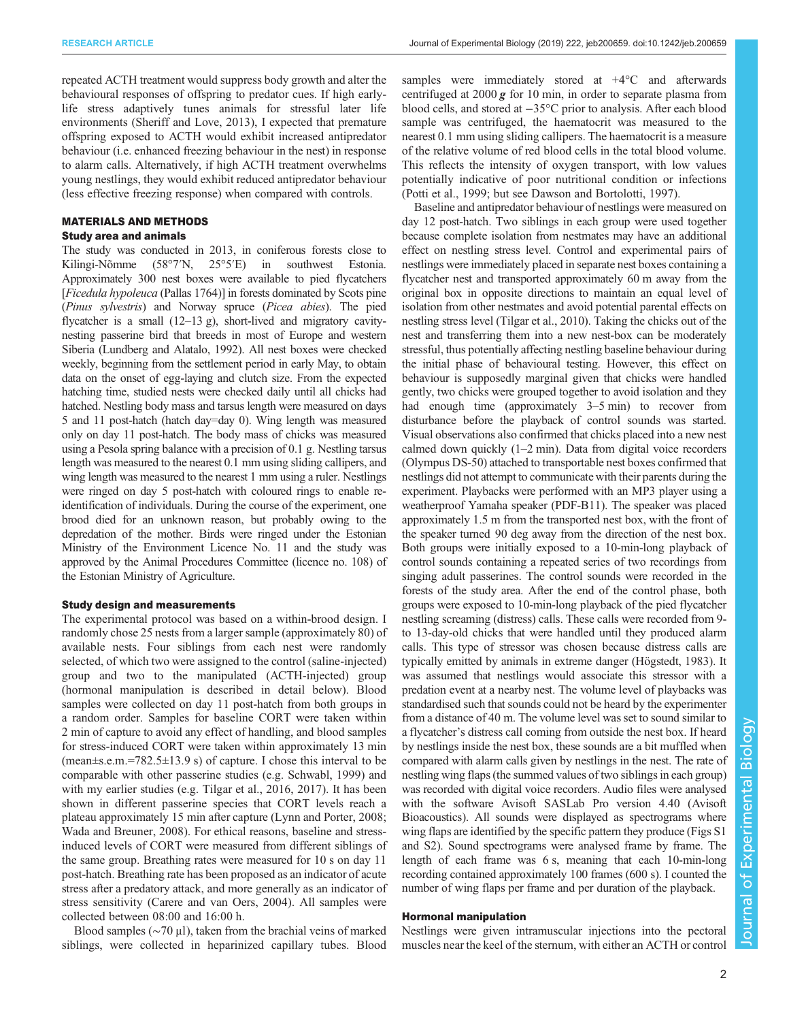repeated ACTH treatment would suppress body growth and alter the behavioural responses of offspring to predator cues. If high earlylife stress adaptively tunes animals for stressful later life environments [\(Sheriff and Love, 2013\)](#page-7-0), I expected that premature offspring exposed to ACTH would exhibit increased antipredator behaviour (i.e. enhanced freezing behaviour in the nest) in response to alarm calls. Alternatively, if high ACTH treatment overwhelms young nestlings, they would exhibit reduced antipredator behaviour (less effective freezing response) when compared with controls.

# MATERIALS AND METHODS

# Study area and animals

The study was conducted in 2013, in coniferous forests close to Kilingi-Nõmme (58°7′N, 25°5′E) in southwest Estonia. Approximately 300 nest boxes were available to pied flycatchers [Ficedula hypoleuca (Pallas 1764)] in forests dominated by Scots pine (Pinus sylvestris) and Norway spruce (Picea abies). The pied flycatcher is a small (12–13 g), short-lived and migratory cavitynesting passerine bird that breeds in most of Europe and western Siberia ([Lundberg and Alatalo, 1992\)](#page-6-0). All nest boxes were checked weekly, beginning from the settlement period in early May, to obtain data on the onset of egg-laying and clutch size. From the expected hatching time, studied nests were checked daily until all chicks had hatched. Nestling body mass and tarsus length were measured on days 5 and 11 post-hatch (hatch day=day 0). Wing length was measured only on day 11 post-hatch. The body mass of chicks was measured using a Pesola spring balance with a precision of 0.1 g. Nestling tarsus length was measured to the nearest 0.1 mm using sliding callipers, and wing length was measured to the nearest 1 mm using a ruler. Nestlings were ringed on day 5 post-hatch with coloured rings to enable reidentification of individuals. During the course of the experiment, one brood died for an unknown reason, but probably owing to the depredation of the mother. Birds were ringed under the Estonian Ministry of the Environment Licence No. 11 and the study was approved by the Animal Procedures Committee (licence no. 108) of the Estonian Ministry of Agriculture.

#### Study design and measurements

The experimental protocol was based on a within-brood design. I randomly chose 25 nests from a larger sample (approximately 80) of available nests. Four siblings from each nest were randomly selected, of which two were assigned to the control (saline-injected) group and two to the manipulated (ACTH-injected) group (hormonal manipulation is described in detail below). Blood samples were collected on day 11 post-hatch from both groups in a random order. Samples for baseline CORT were taken within 2 min of capture to avoid any effect of handling, and blood samples for stress-induced CORT were taken within approximately 13 min  $(mean \pm s.e.m. = 782.5 \pm 13.9 s)$  of capture. I chose this interval to be comparable with other passerine studies (e.g. [Schwabl, 1999](#page-7-0)) and with my earlier studies (e.g. [Tilgar et al., 2016, 2017\)](#page-7-0). It has been shown in different passerine species that CORT levels reach a plateau approximately 15 min after capture [\(Lynn and Porter, 2008](#page-6-0); [Wada and Breuner, 2008\)](#page-7-0). For ethical reasons, baseline and stressinduced levels of CORT were measured from different siblings of the same group. Breathing rates were measured for 10 s on day 11 post-hatch. Breathing rate has been proposed as an indicator of acute stress after a predatory attack, and more generally as an indicator of stress sensitivity ([Carere and van Oers, 2004](#page-6-0)). All samples were collected between 08:00 and 16:00 h.

Blood samples (∼70 μl), taken from the brachial veins of marked siblings, were collected in heparinized capillary tubes. Blood

samples were immediately stored at  $+4^{\circ}$ C and afterwards centrifuged at  $2000\,\text{g}$  for 10 min, in order to separate plasma from blood cells, and stored at −35°C prior to analysis. After each blood sample was centrifuged, the haematocrit was measured to the nearest 0.1 mm using sliding callipers. The haematocrit is a measure of the relative volume of red blood cells in the total blood volume. This reflects the intensity of oxygen transport, with low values potentially indicative of poor nutritional condition or infections [\(Potti et al., 1999;](#page-7-0) but see [Dawson and Bortolotti, 1997\)](#page-6-0).

Baseline and antipredator behaviour of nestlings were measured on day 12 post-hatch. Two siblings in each group were used together because complete isolation from nestmates may have an additional effect on nestling stress level. Control and experimental pairs of nestlings were immediately placed in separate nest boxes containing a flycatcher nest and transported approximately 60 m away from the original box in opposite directions to maintain an equal level of isolation from other nestmates and avoid potential parental effects on nestling stress level [\(Tilgar et al., 2010](#page-7-0)). Taking the chicks out of the nest and transferring them into a new nest-box can be moderately stressful, thus potentially affecting nestling baseline behaviour during the initial phase of behavioural testing. However, this effect on behaviour is supposedly marginal given that chicks were handled gently, two chicks were grouped together to avoid isolation and they had enough time (approximately 3–5 min) to recover from disturbance before the playback of control sounds was started. Visual observations also confirmed that chicks placed into a new nest calmed down quickly (1–2 min). Data from digital voice recorders (Olympus DS-50) attached to transportable nest boxes confirmed that nestlings did not attempt to communicate with their parents during the experiment. Playbacks were performed with an MP3 player using a weatherproof Yamaha speaker (PDF-B11). The speaker was placed approximately 1.5 m from the transported nest box, with the front of the speaker turned 90 deg away from the direction of the nest box. Both groups were initially exposed to a 10-min-long playback of control sounds containing a repeated series of two recordings from singing adult passerines. The control sounds were recorded in the forests of the study area. After the end of the control phase, both groups were exposed to 10-min-long playback of the pied flycatcher nestling screaming (distress) calls. These calls were recorded from 9 to 13-day-old chicks that were handled until they produced alarm calls. This type of stressor was chosen because distress calls are typically emitted by animals in extreme danger [\(Högstedt, 1983](#page-6-0)). It was assumed that nestlings would associate this stressor with a predation event at a nearby nest. The volume level of playbacks was standardised such that sounds could not be heard by the experimenter from a distance of 40 m. The volume level was set to sound similar to a flycatcher's distress call coming from outside the nest box. If heard by nestlings inside the nest box, these sounds are a bit muffled when compared with alarm calls given by nestlings in the nest. The rate of nestling wing flaps (the summed values of two siblings in each group) was recorded with digital voice recorders. Audio files were analysed with the software Avisoft SASLab Pro version 4.40 (Avisoft Bioacoustics). All sounds were displayed as spectrograms where wing flaps are identified by the specific pattern they produce [\(Figs S1](http://jeb.biologists.org/lookup/doi/10.1242/jeb.200659.supplemental) [and S2\)](http://jeb.biologists.org/lookup/doi/10.1242/jeb.200659.supplemental). Sound spectrograms were analysed frame by frame. The length of each frame was 6 s, meaning that each 10-min-long recording contained approximately 100 frames (600 s). I counted the number of wing flaps per frame and per duration of the playback.

## Hormonal manipulation

Nestlings were given intramuscular injections into the pectoral muscles near the keel of the sternum, with either an ACTH or control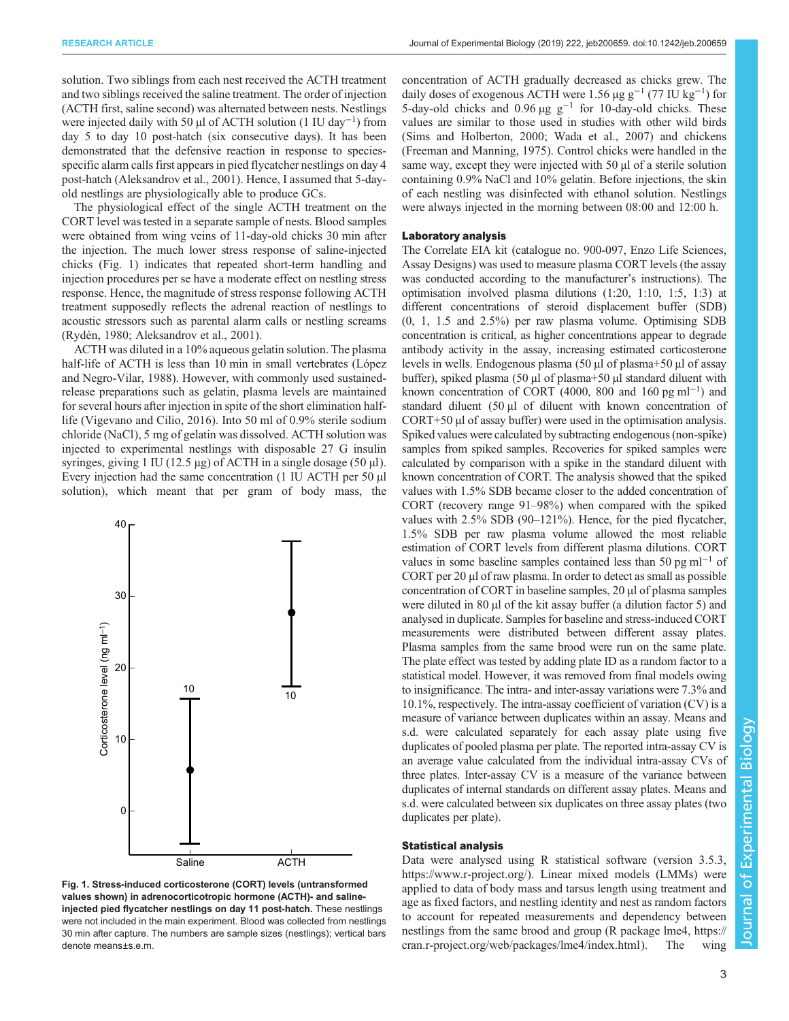<span id="page-2-0"></span>solution. Two siblings from each nest received the ACTH treatment and two siblings received the saline treatment. The order of injection (ACTH first, saline second) was alternated between nests. Nestlings were injected daily with 50 µl of ACTH solution (1 IU day<sup>-1</sup>) from day 5 to day 10 post-hatch (six consecutive days). It has been demonstrated that the defensive reaction in response to speciesspecific alarm calls first appears in pied flycatcher nestlings on day 4 post-hatch [\(Aleksandrov et al., 2001](#page-6-0)). Hence, I assumed that 5-dayold nestlings are physiologically able to produce GCs.

The physiological effect of the single ACTH treatment on the CORT level was tested in a separate sample of nests. Blood samples were obtained from wing veins of 11-day-old chicks 30 min after the injection. The much lower stress response of saline-injected chicks (Fig. 1) indicates that repeated short-term handling and injection procedures per se have a moderate effect on nestling stress response. Hence, the magnitude of stress response following ACTH treatment supposedly reflects the adrenal reaction of nestlings to acoustic stressors such as parental alarm calls or nestling screams [\(Rydén, 1980;](#page-7-0) [Aleksandrov et al., 2001](#page-6-0)).

ACTH was diluted in a 10% aqueous gelatin solution. The plasma half-life of ACTH is less than 10 min in small vertebrates [\(López](#page-6-0) [and Negro-Vilar, 1988\)](#page-6-0). However, with commonly used sustainedrelease preparations such as gelatin, plasma levels are maintained for several hours after injection in spite of the short elimination halflife ([Vigevano and Cilio, 2016](#page-7-0)). Into 50 ml of 0.9% sterile sodium chloride (NaCl), 5 mg of gelatin was dissolved. ACTH solution was injected to experimental nestlings with disposable 27 G insulin syringes, giving 1 IU (12.5  $\mu$ g) of ACTH in a single dosage (50  $\mu$ l). Every injection had the same concentration (1 IU ACTH per 50 µl solution), which meant that per gram of body mass, the



Fig. 1. Stress-induced corticosterone (CORT) levels (untransformed values shown) in adrenocorticotropic hormone (ACTH)- and salineinjected pied flycatcher nestlings on day 11 post-hatch. These nestlings were not included in the main experiment. Blood was collected from nestlings 30 min after capture. The numbers are sample sizes (nestlings); vertical bars denote means±s.e.m.

concentration of ACTH gradually decreased as chicks grew. The daily doses of exogenous ACTH were 1.56 µg  $g^{-1}$  (77 IU kg<sup>-1</sup>) for 5-day-old chicks and 0.96  $\mu$ g g<sup>-1</sup> for 10-day-old chicks. These values are similar to those used in studies with other wild birds [\(Sims and Holberton, 2000](#page-7-0); [Wada et al., 2007](#page-7-0)) and chickens [\(Freeman and Manning, 1975\)](#page-6-0). Control chicks were handled in the same way, except they were injected with 50 µl of a sterile solution containing 0.9% NaCl and 10% gelatin. Before injections, the skin of each nestling was disinfected with ethanol solution. Nestlings were always injected in the morning between 08:00 and 12:00 h.

## Laboratory analysis

The Correlate EIA kit (catalogue no. 900-097, Enzo Life Sciences, Assay Designs) was used to measure plasma CORT levels (the assay was conducted according to the manufacturer's instructions). The optimisation involved plasma dilutions (1:20, 1:10, 1:5, 1:3) at different concentrations of steroid displacement buffer (SDB) (0, 1, 1.5 and 2.5%) per raw plasma volume. Optimising SDB concentration is critical, as higher concentrations appear to degrade antibody activity in the assay, increasing estimated corticosterone levels in wells. Endogenous plasma (50 µl of plasma+50 µl of assay buffer), spiked plasma (50 µl of plasma+50 µl standard diluent with known concentration of CORT (4000, 800 and 160 pg ml<sup>-1</sup>) and standard diluent (50 µl of diluent with known concentration of CORT+50 µl of assay buffer) were used in the optimisation analysis. Spiked values were calculated by subtracting endogenous (non-spike) samples from spiked samples. Recoveries for spiked samples were calculated by comparison with a spike in the standard diluent with known concentration of CORT. The analysis showed that the spiked values with 1.5% SDB became closer to the added concentration of CORT (recovery range 91–98%) when compared with the spiked values with 2.5% SDB (90–121%). Hence, for the pied flycatcher, 1.5% SDB per raw plasma volume allowed the most reliable estimation of CORT levels from different plasma dilutions. CORT values in some baseline samples contained less than 50 pg ml<sup>-1</sup> of CORT per 20 µl of raw plasma. In order to detect as small as possible concentration of CORT in baseline samples, 20 µl of plasma samples were diluted in 80 µl of the kit assay buffer (a dilution factor 5) and analysed in duplicate. Samples for baseline and stress-induced CORT measurements were distributed between different assay plates. Plasma samples from the same brood were run on the same plate. The plate effect was tested by adding plate ID as a random factor to a statistical model. However, it was removed from final models owing to insignificance. The intra- and inter-assay variations were 7.3% and 10.1%, respectively. The intra-assay coefficient of variation (CV) is a measure of variance between duplicates within an assay. Means and s.d. were calculated separately for each assay plate using five duplicates of pooled plasma per plate. The reported intra-assay CV is an average value calculated from the individual intra-assay CVs of three plates. Inter-assay CV is a measure of the variance between duplicates of internal standards on different assay plates. Means and s.d. were calculated between six duplicates on three assay plates (two duplicates per plate).

## Statistical analysis

Data were analysed using R statistical software (version 3.5.3, <https://www.r-project.org/>). Linear mixed models (LMMs) were applied to data of body mass and tarsus length using treatment and age as fixed factors, and nestling identity and nest as random factors to account for repeated measurements and dependency between nestlings from the same brood and group (R package lme4, [https://](https://cran.r-project.org/web/packages/lme4/index.html) [cran.r-project.org/web/packages/lme4/index.html](https://cran.r-project.org/web/packages/lme4/index.html)). The wing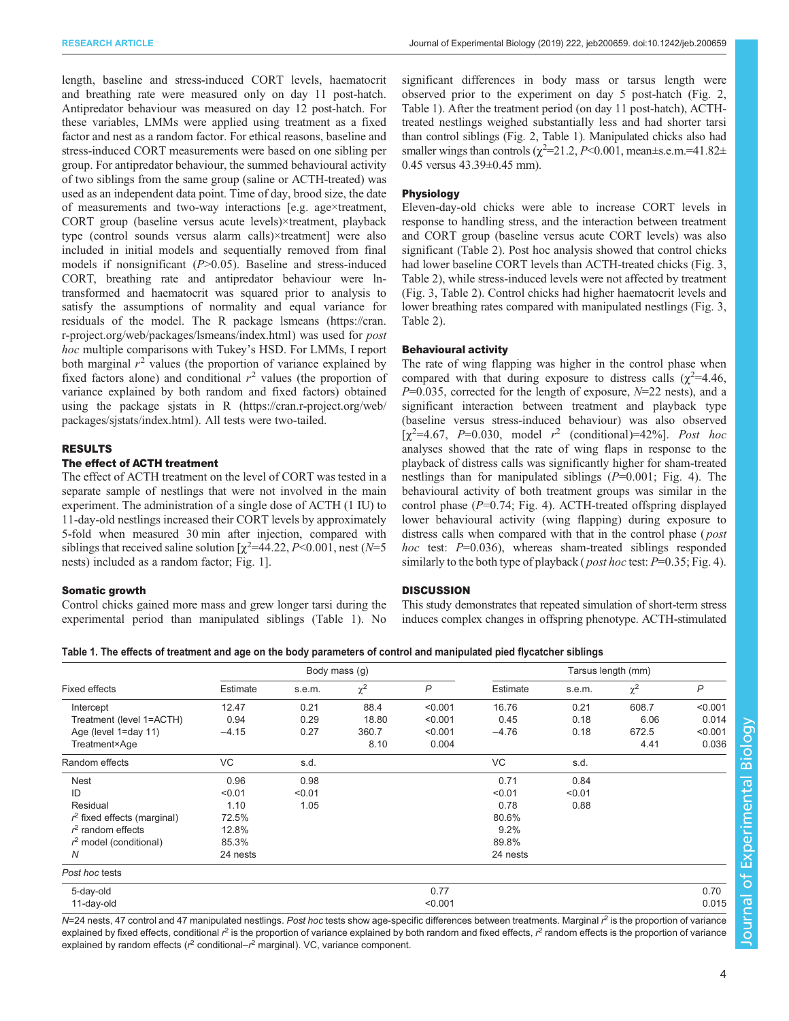length, baseline and stress-induced CORT levels, haematocrit and breathing rate were measured only on day 11 post-hatch. Antipredator behaviour was measured on day 12 post-hatch. For these variables, LMMs were applied using treatment as a fixed factor and nest as a random factor. For ethical reasons, baseline and stress-induced CORT measurements were based on one sibling per group. For antipredator behaviour, the summed behavioural activity of two siblings from the same group (saline or ACTH-treated) was used as an independent data point. Time of day, brood size, the date of measurements and two-way interactions [e.g. age×treatment, CORT group (baseline versus acute levels)×treatment, playback type (control sounds versus alarm calls)×treatment] were also included in initial models and sequentially removed from final models if nonsignificant  $(P>0.05)$ . Baseline and stress-induced CORT, breathing rate and antipredator behaviour were lntransformed and haematocrit was squared prior to analysis to satisfy the assumptions of normality and equal variance for residuals of the model. The R package lsmeans ([https://cran.](https://cran.r-project.org/web/packages/lsmeans/index.html) [r-project.org/web/packages/lsmeans/index.html](https://cran.r-project.org/web/packages/lsmeans/index.html)) was used for post hoc multiple comparisons with Tukey's HSD. For LMMs, I report both marginal  $r^2$  values (the proportion of variance explained by fixed factors alone) and conditional  $r^2$  values (the proportion of variance explained by both random and fixed factors) obtained using the package sjstats in R ([https://cran.r-project.org/web/](https://cran.r-project.org/web/packages/sjstats/index.html) [packages/sjstats/index.html](https://cran.r-project.org/web/packages/sjstats/index.html)). All tests were two-tailed.

# RESULTS

# The effect of ACTH treatment

The effect of ACTH treatment on the level of CORT was tested in a separate sample of nestlings that were not involved in the main experiment. The administration of a single dose of ACTH (1 IU) to 11-day-old nestlings increased their CORT levels by approximately 5-fold when measured 30 min after injection, compared with siblings that received saline solution  $[\chi^2=44.22, P<0.001]$ , nest (N=5) nests) included as a random factor; [Fig. 1](#page-2-0)].

## Somatic growth

Control chicks gained more mass and grew longer tarsi during the experimental period than manipulated siblings (Table 1). No significant differences in body mass or tarsus length were observed prior to the experiment on day 5 post-hatch [\(Fig. 2,](#page-4-0) Table 1). After the treatment period (on day 11 post-hatch), ACTHtreated nestlings weighed substantially less and had shorter tarsi than control siblings ([Fig. 2,](#page-4-0) Table 1). Manipulated chicks also had smaller wings than controls  $(\chi^2 = 21.2, P \le 0.001, \text{mean} \pm \text{s.e.m.} = 41.82 \pm \text{nm}$ 0.45 versus 43.39±0.45 mm).

# Physiology

Eleven-day-old chicks were able to increase CORT levels in response to handling stress, and the interaction between treatment and CORT group (baseline versus acute CORT levels) was also significant ([Table 2\)](#page-4-0). Post hoc analysis showed that control chicks had lower baseline CORT levels than ACTH-treated chicks ([Fig. 3,](#page-5-0) [Table 2](#page-4-0)), while stress-induced levels were not affected by treatment [\(Fig. 3](#page-5-0), [Table 2\)](#page-4-0). Control chicks had higher haematocrit levels and lower breathing rates compared with manipulated nestlings [\(Fig. 3,](#page-5-0) [Table 2\)](#page-4-0).

## Behavioural activity

The rate of wing flapping was higher in the control phase when compared with that during exposure to distress calls  $(\chi^2=4.46,$  $P=0.035$ , corrected for the length of exposure,  $N=22$  nests), and a significant interaction between treatment and playback type (baseline versus stress-induced behaviour) was also observed [ $\chi^2$ =4.67, P=0.030, model  $r^2$  (conditional)=42%]. Post hoc analyses showed that the rate of wing flaps in response to the playback of distress calls was significantly higher for sham-treated nestlings than for manipulated siblings  $(P=0.001;$  [Fig. 4](#page-5-0)). The behavioural activity of both treatment groups was similar in the control phase  $(P=0.74; Fig. 4)$  $(P=0.74; Fig. 4)$ . ACTH-treated offspring displayed lower behavioural activity (wing flapping) during exposure to distress calls when compared with that in the control phase (*post*) *hoc* test:  $P=0.036$ , whereas sham-treated siblings responded similarly to the both type of playback (*post hoc* test:  $P=0.35$ ; [Fig. 4\)](#page-5-0).

### **DISCUSSION**

This study demonstrates that repeated simulation of short-term stress induces complex changes in offspring phenotype. ACTH-stimulated

Table 1. The effects of treatment and age on the body parameters of control and manipulated pied flycatcher siblings

| <b>Fixed effects</b>           | Body mass (g) |        |          |         | Tarsus length (mm) |        |          |              |  |
|--------------------------------|---------------|--------|----------|---------|--------------------|--------|----------|--------------|--|
|                                | Estimate      | s.e.m. | $\chi^2$ | P       | Estimate           | s.e.m. | $\chi^2$ | $\mathsf{P}$ |  |
| Intercept                      | 12.47         | 0.21   | 88.4     | < 0.001 | 16.76              | 0.21   | 608.7    | < 0.001      |  |
| Treatment (level 1=ACTH)       | 0.94          | 0.29   | 18.80    | < 0.001 | 0.45               | 0.18   | 6.06     | 0.014        |  |
| Age (level 1=day 11)           | $-4.15$       | 0.27   | 360.7    | < 0.001 | $-4.76$            | 0.18   | 672.5    | < 0.001      |  |
| Treatment×Age                  |               |        | 8.10     | 0.004   |                    |        | 4.41     | 0.036        |  |
| Random effects                 | VC            | s.d.   |          |         | VC                 | s.d.   |          |              |  |
| Nest                           | 0.96          | 0.98   |          |         | 0.71               | 0.84   |          |              |  |
| ID                             | < 0.01        | < 0.01 |          |         | < 0.01             | < 0.01 |          |              |  |
| Residual                       | 1.10          | 1.05   |          |         | 0.78               | 0.88   |          |              |  |
| $r^2$ fixed effects (marginal) | 72.5%         |        |          |         | 80.6%              |        |          |              |  |
| $r2$ random effects            | 12.8%         |        |          |         | 9.2%               |        |          |              |  |
| $r2$ model (conditional)       | 85.3%         |        |          |         | 89.8%              |        |          |              |  |
| N                              | 24 nests      |        |          |         | 24 nests           |        |          |              |  |
| Post hoc tests                 |               |        |          |         |                    |        |          |              |  |
| 5-day-old                      | 0.77          |        |          |         |                    |        |          | 0.70         |  |
| 11-day-old                     |               |        |          | < 0.001 |                    |        |          | 0.015        |  |

N=24 nests, 47 control and 47 manipulated nestlings. Post hoc tests show age-specific differences between treatments. Marginal r<sup>2</sup> is the proportion of variance explained by fixed effects, conditional  $r^2$  is the proportion of variance explained by both random and fixed effects,  $r^2$  random effects is the proportion of variance explained by random effects ( $r^2$  conditional- $r^2$  marginal). VC, variance component.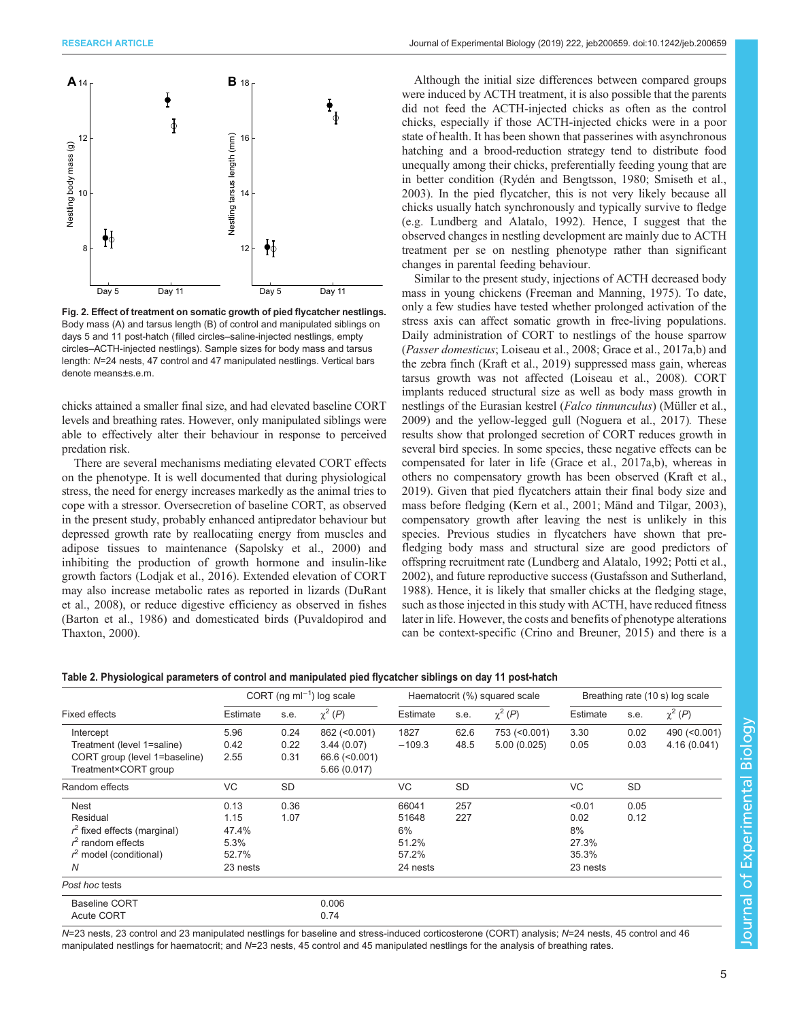<span id="page-4-0"></span>

Fig. 2. Effect of treatment on somatic growth of pied flycatcher nestlings. Body mass (A) and tarsus length (B) of control and manipulated siblings on days 5 and 11 post-hatch (filled circles–saline-injected nestlings, empty circles–ACTH-injected nestlings). Sample sizes for body mass and tarsus length: N=24 nests, 47 control and 47 manipulated nestlings. Vertical bars denote means±s.e.m.

chicks attained a smaller final size, and had elevated baseline CORT levels and breathing rates. However, only manipulated siblings were able to effectively alter their behaviour in response to perceived predation risk.

There are several mechanisms mediating elevated CORT effects on the phenotype. It is well documented that during physiological stress, the need for energy increases markedly as the animal tries to cope with a stressor. Oversecretion of baseline CORT, as observed in the present study, probably enhanced antipredator behaviour but depressed growth rate by reallocatiing energy from muscles and adipose tissues to maintenance ([Sapolsky et al., 2000\)](#page-7-0) and inhibiting the production of growth hormone and insulin-like growth factors [\(Lodjak et al., 2016\)](#page-6-0). Extended elevation of CORT may also increase metabolic rates as reported in lizards ([DuRant](#page-6-0) [et al., 2008](#page-6-0)), or reduce digestive efficiency as observed in fishes [\(Barton et al., 1986](#page-6-0)) and domesticated birds [\(Puvaldopirod and](#page-7-0) [Thaxton, 2000\)](#page-7-0).

Although the initial size differences between compared groups were induced by ACTH treatment, it is also possible that the parents did not feed the ACTH-injected chicks as often as the control chicks, especially if those ACTH-injected chicks were in a poor state of health. It has been shown that passerines with asynchronous hatching and a brood-reduction strategy tend to distribute food unequally among their chicks, preferentially feeding young that are in better condition ([Rydén and Bengtsson, 1980](#page-7-0); [Smiseth et al.,](#page-7-0) [2003\)](#page-7-0). In the pied flycatcher, this is not very likely because all chicks usually hatch synchronously and typically survive to fledge (e.g. [Lundberg and Alatalo, 1992](#page-6-0)). Hence, I suggest that the observed changes in nestling development are mainly due to ACTH treatment per se on nestling phenotype rather than significant changes in parental feeding behaviour.

Similar to the present study, injections of ACTH decreased body mass in young chickens [\(Freeman and Manning, 1975\)](#page-6-0). To date, only a few studies have tested whether prolonged activation of the stress axis can affect somatic growth in free-living populations. Daily administration of CORT to nestlings of the house sparrow (Passer domesticus; [Loiseau et al., 2008](#page-6-0); [Grace et al., 2017a,b](#page-6-0)) and the zebra finch ([Kraft et al., 2019\)](#page-6-0) suppressed mass gain, whereas tarsus growth was not affected ([Loiseau et al., 2008](#page-6-0)). CORT implants reduced structural size as well as body mass growth in nestlings of the Eurasian kestrel (Falco tinnunculus) [\(Müller et al.,](#page-6-0) [2009\)](#page-6-0) and the yellow-legged gull [\(Noguera et al., 2017](#page-6-0)). These results show that prolonged secretion of CORT reduces growth in several bird species. In some species, these negative effects can be compensated for later in life ([Grace et al., 2017a,b\)](#page-6-0), whereas in others no compensatory growth has been observed ([Kraft et al.,](#page-6-0) [2019\)](#page-6-0). Given that pied flycatchers attain their final body size and mass before fledging [\(Kern et al., 2001; Mänd and Tilgar, 2003\)](#page-6-0), compensatory growth after leaving the nest is unlikely in this species. Previous studies in flycatchers have shown that prefledging body mass and structural size are good predictors of offspring recruitment rate ([Lundberg and Alatalo, 1992;](#page-6-0) [Potti et al.,](#page-7-0) [2002\)](#page-7-0), and future reproductive success [\(Gustafsson and Sutherland,](#page-6-0) [1988\)](#page-6-0). Hence, it is likely that smaller chicks at the fledging stage, such as those injected in this study with ACTH, have reduced fitness later in life. However, the costs and benefits of phenotype alterations can be context-specific [\(Crino and Breuner, 2015](#page-6-0)) and there is a

| Table 2. Physiological parameters of control and manipulated pied flycatcher siblings on day 11 post-hatch |  |  |  |  |  |
|------------------------------------------------------------------------------------------------------------|--|--|--|--|--|
|------------------------------------------------------------------------------------------------------------|--|--|--|--|--|

| <b>Fixed effects</b>           | CORT (ng m $I^{-1}$ ) log scale |      |                      | Haematocrit (%) squared scale |           |               | Breathing rate (10 s) log scale |      |               |
|--------------------------------|---------------------------------|------|----------------------|-------------------------------|-----------|---------------|---------------------------------|------|---------------|
|                                | Estimate                        | s.e. | $\chi^2(P)$          | Estimate                      | s.e.      | $\chi^2(P)$   | Estimate                        | s.e. | $\chi^2(P)$   |
| Intercept                      | 5.96                            | 0.24 | 862 (< 0.001)        | 1827                          | 62.6      | 753 (< 0.001) | 3.30                            | 0.02 | 490 (< 0.001) |
| Treatment (level 1=saline)     | 0.42                            | 0.22 | 3.44(0.07)           | $-109.3$                      | 48.5      | 5.00(0.025)   | 0.05                            | 0.03 | 4.16(0.041)   |
| CORT group (level 1=baseline)  | 2.55                            | 0.31 | $66.6$ ( $< 0.001$ ) |                               |           |               |                                 |      |               |
| Treatment×CORT group           |                                 |      | 5.66(0.017)          |                               |           |               |                                 |      |               |
| Random effects                 | VC                              | SD   |                      | <b>VC</b>                     | <b>SD</b> |               | <b>VC</b>                       | SD   |               |
| <b>Nest</b>                    | 0.13                            | 0.36 |                      | 66041                         | 257       |               | < 0.01                          | 0.05 |               |
| Residual                       | 1.15                            | 1.07 |                      | 51648                         | 227       |               | 0.02                            | 0.12 |               |
| $r^2$ fixed effects (marginal) | 47.4%                           |      |                      | 6%                            |           |               | 8%                              |      |               |
| $r2$ random effects            | 5.3%                            |      |                      | 51.2%                         |           |               | 27.3%                           |      |               |
| $r2$ model (conditional)       | 52.7%                           |      |                      | 57.2%                         |           |               | 35.3%                           |      |               |
| N                              | 23 nests                        |      |                      | 24 nests                      |           |               | 23 nests                        |      |               |
| Post hoc tests                 |                                 |      |                      |                               |           |               |                                 |      |               |
| <b>Baseline CORT</b>           |                                 |      | 0.006                |                               |           |               |                                 |      |               |
| <b>Acute CORT</b>              |                                 |      | 0.74                 |                               |           |               |                                 |      |               |

N=23 nests, 23 control and 23 manipulated nestlings for baseline and stress-induced corticosterone (CORT) analysis; N=24 nests, 45 control and 46 manipulated nestlings for haematocrit; and N=23 nests, 45 control and 45 manipulated nestlings for the analysis of breathing rates.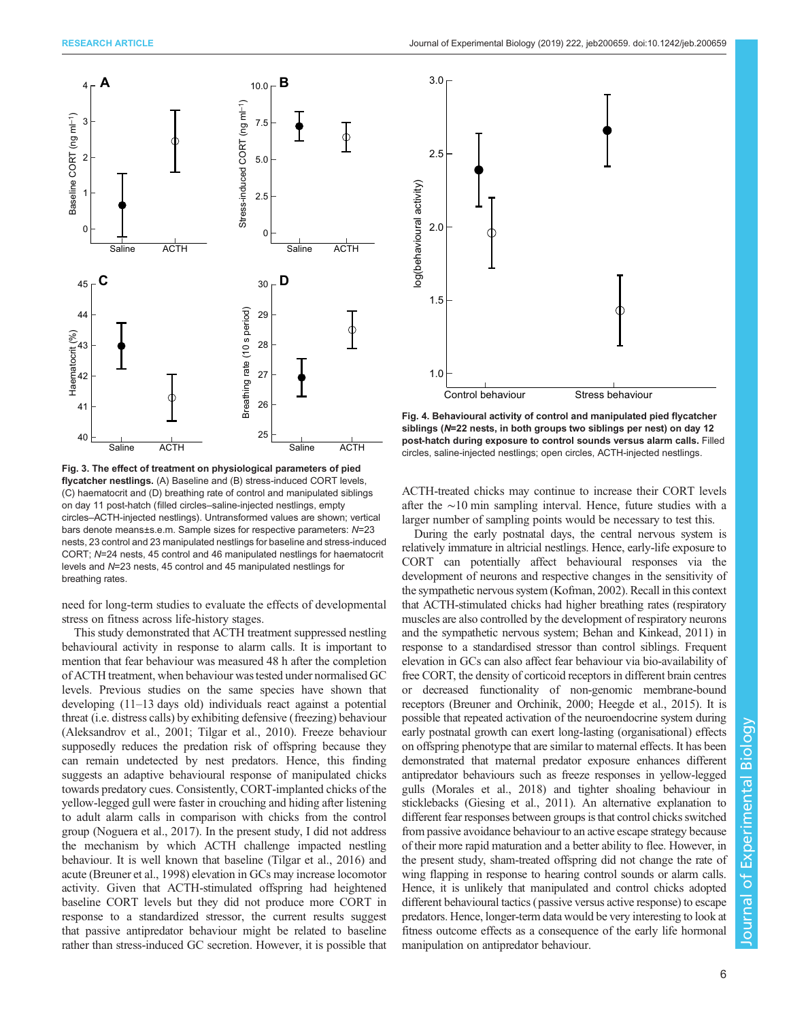<span id="page-5-0"></span>

Fig. 3. The effect of treatment on physiological parameters of pied flycatcher nestlings. (A) Baseline and (B) stress-induced CORT levels, (C) haematocrit and (D) breathing rate of control and manipulated siblings on day 11 post-hatch (filled circles–saline-injected nestlings, empty circles–ACTH-injected nestlings). Untransformed values are shown; vertical bars denote means±s.e.m. Sample sizes for respective parameters: N=23 nests, 23 control and 23 manipulated nestlings for baseline and stress-induced CORT; N=24 nests, 45 control and 46 manipulated nestlings for haematocrit levels and N=23 nests, 45 control and 45 manipulated nestlings for breathing rates.

need for long-term studies to evaluate the effects of developmental stress on fitness across life-history stages.

This study demonstrated that ACTH treatment suppressed nestling behavioural activity in response to alarm calls. It is important to mention that fear behaviour was measured 48 h after the completion of ACTH treatment, when behaviour was tested under normalised GC levels. Previous studies on the same species have shown that developing (11–13 days old) individuals react against a potential threat (i.e. distress calls) by exhibiting defensive (freezing) behaviour [\(Aleksandrov et al., 2001;](#page-6-0) [Tilgar et al., 2010](#page-7-0)). Freeze behaviour supposedly reduces the predation risk of offspring because they can remain undetected by nest predators. Hence, this finding suggests an adaptive behavioural response of manipulated chicks towards predatory cues. Consistently, CORT-implanted chicks of the yellow-legged gull were faster in crouching and hiding after listening to adult alarm calls in comparison with chicks from the control group [\(Noguera et al., 2017](#page-6-0)). In the present study, I did not address the mechanism by which ACTH challenge impacted nestling behaviour. It is well known that baseline ([Tilgar et al., 2016](#page-7-0)) and acute [\(Breuner et al., 1998\)](#page-6-0) elevation in GCs may increase locomotor activity. Given that ACTH-stimulated offspring had heightened baseline CORT levels but they did not produce more CORT in response to a standardized stressor, the current results suggest that passive antipredator behaviour might be related to baseline rather than stress-induced GC secretion. However, it is possible that



Fig. 4. Behavioural activity of control and manipulated pied flycatcher siblings (N=22 nests, in both groups two siblings per nest) on day 12 post-hatch during exposure to control sounds versus alarm calls. Filled circles, saline-injected nestlings; open circles, ACTH-injected nestlings.

ACTH-treated chicks may continue to increase their CORT levels after the ∼10 min sampling interval. Hence, future studies with a larger number of sampling points would be necessary to test this.

During the early postnatal days, the central nervous system is relatively immature in altricial nestlings. Hence, early-life exposure to CORT can potentially affect behavioural responses via the development of neurons and respective changes in the sensitivity of the sympathetic nervous system ([Kofman, 2002](#page-6-0)). Recall in this context that ACTH-stimulated chicks had higher breathing rates (respiratory muscles are also controlled by the development of respiratory neurons and the sympathetic nervous system; [Behan and Kinkead, 2011\)](#page-6-0) in response to a standardised stressor than control siblings. Frequent elevation in GCs can also affect fear behaviour via bio-availability of free CORT, the density of corticoid receptors in different brain centres or decreased functionality of non-genomic membrane-bound receptors ([Breuner and Orchinik, 2000](#page-6-0); [Heegde et al., 2015\)](#page-6-0). It is possible that repeated activation of the neuroendocrine system during early postnatal growth can exert long-lasting (organisational) effects on offspring phenotype that are similar to maternal effects. It has been demonstrated that maternal predator exposure enhances different antipredator behaviours such as freeze responses in yellow-legged gulls [\(Morales et al., 2018](#page-6-0)) and tighter shoaling behaviour in sticklebacks ([Giesing et al., 2011\)](#page-6-0). An alternative explanation to different fear responses between groups is that control chicks switched from passive avoidance behaviour to an active escape strategy because of their more rapid maturation and a better ability to flee. However, in the present study, sham-treated offspring did not change the rate of wing flapping in response to hearing control sounds or alarm calls. Hence, it is unlikely that manipulated and control chicks adopted different behavioural tactics (passive versus active response) to escape predators. Hence, longer-term data would be very interesting to look at fitness outcome effects as a consequence of the early life hormonal manipulation on antipredator behaviour.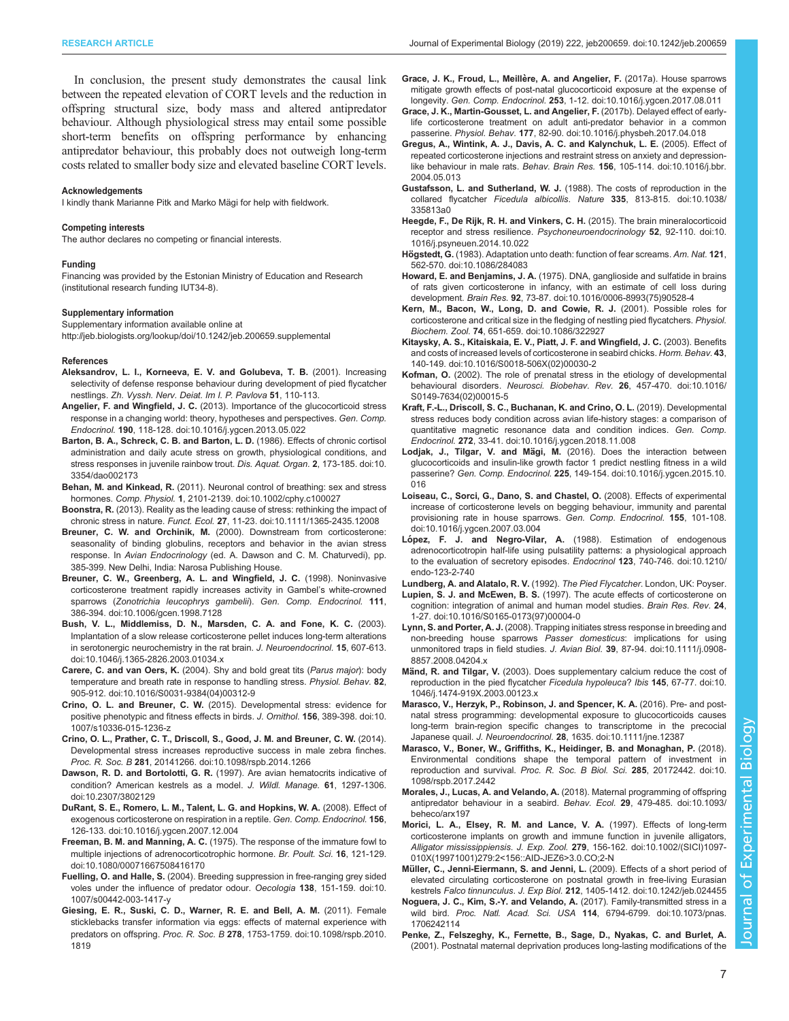<span id="page-6-0"></span>In conclusion, the present study demonstrates the causal link between the repeated elevation of CORT levels and the reduction in offspring structural size, body mass and altered antipredator behaviour. Although physiological stress may entail some possible short-term benefits on offspring performance by enhancing antipredator behaviour, this probably does not outweigh long-term costs related to smaller body size and elevated baseline CORT levels.

#### Acknowledgements

I kindly thank Marianne Pitk and Marko Mägi for help with fieldwork.

#### Competing interests

The author declares no competing or financial interests.

#### Funding

Financing was provided by the Estonian Ministry of Education and Research (institutional research funding IUT34-8).

#### Supplementary information

Supplementary information available online at <http://jeb.biologists.org/lookup/doi/10.1242/jeb.200659.supplemental>

#### References

- Aleksandrov, L. I., Korneeva, E. V. and Golubeva, T. B. (2001). Increasing selectivity of defense response behaviour during development of pied flycatcher nestlings. Zh. Vyssh. Nerv. Deiat. Im I. P. Pavlova 51, 110-113.
- Angelier, F. and Wingfield, J. C. [\(2013\). Importance of the glucocorticoid stress](https://doi.org/10.1016/j.ygcen.2013.05.022) [response in a changing world: theory, hypotheses and perspectives.](https://doi.org/10.1016/j.ygcen.2013.05.022) Gen. Comp. Endocrinol. 190[, 118-128. doi:10.1016/j.ygcen.2013.05.022](https://doi.org/10.1016/j.ygcen.2013.05.022)
- [Barton, B. A., Schreck, C. B. and Barton, L. D.](https://doi.org/10.3354/dao002173) (1986). Effects of chronic cortisol [administration and daily acute stress on growth, physiological conditions, and](https://doi.org/10.3354/dao002173) [stress responses in juvenile rainbow trout.](https://doi.org/10.3354/dao002173) Dis. Aquat. Organ. 2, 173-185. doi:10. [3354/dao002173](https://doi.org/10.3354/dao002173)
- Behan, M. and Kinkead, R. [\(2011\). Neuronal control of breathing: sex and stress](https://doi.org/10.1002/cphy.c100027) hormones. Comp. Physiol. 1[, 2101-2139. doi:10.1002/cphy.c100027](https://doi.org/10.1002/cphy.c100027)
- Boonstra, R. [\(2013\). Reality as the leading cause of stress: rethinking the impact of](https://doi.org/10.1111/1365-2435.12008) chronic stress in nature. Funct. Ecol. 27[, 11-23. doi:10.1111/1365-2435.12008](https://doi.org/10.1111/1365-2435.12008)
- Breuner, C. W. and Orchinik, M. (2000). Downstream from corticosterone: seasonality of binding globulins, receptors and behavior in the avian stress response. In Avian Endocrinology (ed. A. Dawson and C. M. Chaturvedi), pp. 385-399. New Delhi, India: Narosa Publishing House.
- [Breuner, C. W., Greenberg, A. L. and Wingfield, J. C.](https://doi.org/10.1006/gcen.1998.7128) (1998). Noninvasive [corticosterone treatment rapidly increases activity in Gambel](https://doi.org/10.1006/gcen.1998.7128)'s white-crowned sparrows ([Zonotrichia leucophrys gambelii](https://doi.org/10.1006/gcen.1998.7128)). Gen. Comp. Endocrinol. 111, [386-394. doi:10.1006/gcen.1998.7128](https://doi.org/10.1006/gcen.1998.7128)
- [Bush, V. L., Middlemiss, D. N., Marsden, C. A. and Fone, K. C.](https://doi.org/10.1046/j.1365-2826.2003.01034.x) (2003). [Implantation of a slow release corticosterone pellet induces long-term alterations](https://doi.org/10.1046/j.1365-2826.2003.01034.x) [in serotonergic neurochemistry in the rat brain.](https://doi.org/10.1046/j.1365-2826.2003.01034.x) J. Neuroendocrinol. 15, 607-613. [doi:10.1046/j.1365-2826.2003.01034.x](https://doi.org/10.1046/j.1365-2826.2003.01034.x)
- Carere, C. and van Oers, K. [\(2004\). Shy and bold great tits \(](https://doi.org/10.1016/S0031-9384(04)00312-9)Parus major): body [temperature and breath rate in response to handling stress.](https://doi.org/10.1016/S0031-9384(04)00312-9) Physiol. Behav. 82, [905-912. doi:10.1016/S0031-9384\(04\)00312-9](https://doi.org/10.1016/S0031-9384(04)00312-9)
- Crino, O. L. and Breuner, C. W. [\(2015\). Developmental stress: evidence for](https://doi.org/10.1007/s10336-015-1236-z) [positive phenotypic and fitness effects in birds.](https://doi.org/10.1007/s10336-015-1236-z) J. Ornithol. 156, 389-398. doi:10. [1007/s10336-015-1236-z](https://doi.org/10.1007/s10336-015-1236-z)
- [Crino, O. L., Prather, C. T., Driscoll, S., Good, J. M. and Breuner, C. W.](https://doi.org/10.1098/rspb.2014.1266) (2014). [Developmental stress increases reproductive success in male zebra finches.](https://doi.org/10.1098/rspb.2014.1266) Proc. R. Soc. B 281[, 20141266. doi:10.1098/rspb.2014.1266](https://doi.org/10.1098/rspb.2014.1266)
- Dawson, R. D. and Bortolotti, G. R. [\(1997\). Are avian hematocrits indicative of](https://doi.org/10.2307/3802129) [condition? American kestrels as a model.](https://doi.org/10.2307/3802129) J. Wildl. Manage. 61, 1297-1306. [doi:10.2307/3802129](https://doi.org/10.2307/3802129)
- [DuRant, S. E., Romero, L. M., Talent, L. G. and Hopkins, W. A.](https://doi.org/10.1016/j.ygcen.2007.12.004) (2008). Effect of [exogenous corticosterone on respiration in a reptile.](https://doi.org/10.1016/j.ygcen.2007.12.004) Gen. Comp. Endocrinol. 156, [126-133. doi:10.1016/j.ygcen.2007.12.004](https://doi.org/10.1016/j.ygcen.2007.12.004)
- Freeman, B. M. and Manning, A. C. [\(1975\). The response of the immature fowl to](https://doi.org/10.1080/00071667508416170) [multiple injections of adrenocorticotrophic hormone.](https://doi.org/10.1080/00071667508416170) Br. Poult. Sci. 16, 121-129. [doi:10.1080/00071667508416170](https://doi.org/10.1080/00071667508416170)
- Fuelling, O. and Halle, S. [\(2004\). Breeding suppression in free-ranging grey sided](https://doi.org/10.1007/s00442-003-1417-y) [voles under the influence of predator odour.](https://doi.org/10.1007/s00442-003-1417-y) Oecologia 138, 151-159. doi:10. [1007/s00442-003-1417-y](https://doi.org/10.1007/s00442-003-1417-y)
- [Giesing, E. R., Suski, C. D., Warner, R. E. and Bell, A. M.](https://doi.org/10.1098/rspb.2010.1819) (2011). Female [sticklebacks transfer information via eggs: effects of maternal experience with](https://doi.org/10.1098/rspb.2010.1819) predators on offspring. Proc. R. Soc. B 278[, 1753-1759. doi:10.1098/rspb.2010.](https://doi.org/10.1098/rspb.2010.1819) [1819](https://doi.org/10.1098/rspb.2010.1819)
- Grace, J. K., Froud, L., Meillère, A. and Angelier, F. (2017a). House sparrows [mitigate growth effects of post-natal glucocorticoid exposure at the expense of](https://doi.org/10.1016/j.ygcen.2017.08.011) longevity. Gen. Comp. Endocrinol. 253[, 1-12. doi:10.1016/j.ygcen.2017.08.011](https://doi.org/10.1016/j.ygcen.2017.08.011)
- [Grace, J. K., Martin-Gousset, L. and Angelier, F.](https://doi.org/10.1016/j.physbeh.2017.04.018) (2017b). Delayed effect of early[life corticosterone treatment on adult anti-predator behavior in a common](https://doi.org/10.1016/j.physbeh.2017.04.018) passerine. Physiol. Behav. 177[, 82-90. doi:10.1016/j.physbeh.2017.04.018](https://doi.org/10.1016/j.physbeh.2017.04.018)
- [Gregus, A., Wintink, A. J., Davis, A. C. and Kalynchuk, L. E.](https://doi.org/10.1016/j.bbr.2004.05.013) (2005). Effect of [repeated corticosterone injections and restraint stress on anxiety and depression-](https://doi.org/10.1016/j.bbr.2004.05.013)like behaviour in male rats. Behav. Brain Res. 156[, 105-114. doi:10.1016/j.bbr.](https://doi.org/10.1016/j.bbr.2004.05.013) [2004.05.013](https://doi.org/10.1016/j.bbr.2004.05.013)
- Gustafsson, L. and Sutherland, W. J. [\(1988\). The costs of reproduction in the](https://doi.org/10.1038/335813a0) collared flycatcher Ficedula albicollis. Nature 335[, 813-815. doi:10.1038/](https://doi.org/10.1038/335813a0) [335813a0](https://doi.org/10.1038/335813a0)
- [Heegde, F., De Rijk, R. H. and Vinkers, C. H.](https://doi.org/10.1016/j.psyneuen.2014.10.022) (2015). The brain mineralocorticoid [receptor and stress resilience.](https://doi.org/10.1016/j.psyneuen.2014.10.022) Psychoneuroendocrinology 52, 92-110. doi:10. [1016/j.psyneuen.2014.10.022](https://doi.org/10.1016/j.psyneuen.2014.10.022)
- Högstedt, G. [\(1983\). Adaptation unto death: function of fear screams.](https://doi.org/10.1086/284083) Am. Nat. 121, [562-570. doi:10.1086/284083](https://doi.org/10.1086/284083)
- Howard, E. and Benjamins, J. A. [\(1975\). DNA, ganglioside and sulfatide in brains](https://doi.org/10.1016/0006-8993(75)90528-4) [of rats given corticosterone in infancy, with an estimate of cell loss during](https://doi.org/10.1016/0006-8993(75)90528-4) development. Brain Res. 92[, 73-87. doi:10.1016/0006-8993\(75\)90528-4](https://doi.org/10.1016/0006-8993(75)90528-4)
- [Kern, M., Bacon, W., Long, D. and Cowie, R. J.](https://doi.org/10.1086/322927) (2001). Possible roles for [corticosterone and critical size in the fledging of nestling pied flycatchers.](https://doi.org/10.1086/322927) Physiol. Biochem. Zool. 74[, 651-659. doi:10.1086/322927](https://doi.org/10.1086/322927)
- [Kitaysky, A. S., Kitaiskaia, E. V., Piatt, J. F. and Wingfield, J. C.](https://doi.org/10.1016/S0018-506X(02)00030-2) (2003). Benefits [and costs of increased levels of corticosterone in seabird chicks.](https://doi.org/10.1016/S0018-506X(02)00030-2) Horm. Behav. 43, [140-149. doi:10.1016/S0018-506X\(02\)00030-2](https://doi.org/10.1016/S0018-506X(02)00030-2)
- Kofman, O. [\(2002\). The role of prenatal stress in the etiology of developmental](https://doi.org/10.1016/S0149-7634(02)00015-5) behavioural disorders. [Neurosci. Biobehav. Rev.](https://doi.org/10.1016/S0149-7634(02)00015-5) 26, 457-470. doi:10.1016/ [S0149-7634\(02\)00015-5](https://doi.org/10.1016/S0149-7634(02)00015-5)
- [Kraft, F.-L., Driscoll, S. C., Buchanan, K. and Crino, O. L.](https://doi.org/10.1016/j.ygcen.2018.11.008) (2019). Developmental [stress reduces body condition across avian life-history stages: a comparison of](https://doi.org/10.1016/j.ygcen.2018.11.008) [quantitative magnetic resonance data and condition indices.](https://doi.org/10.1016/j.ygcen.2018.11.008) Gen. Comp. Endocrinol. 272[, 33-41. doi:10.1016/j.ygcen.2018.11.008](https://doi.org/10.1016/j.ygcen.2018.11.008)
- Lodjak, J., Tilgar, V. and Mägi, M. [\(2016\). Does the interaction between](https://doi.org/10.1016/j.ygcen.2015.10.016) [glucocorticoids and insulin-like growth factor 1 predict nestling fitness in a wild](https://doi.org/10.1016/j.ygcen.2015.10.016) passerine? Gen. Comp. Endocrinol. 225[, 149-154. doi:10.1016/j.ygcen.2015.10.](https://doi.org/10.1016/j.ygcen.2015.10.016) [016](https://doi.org/10.1016/j.ygcen.2015.10.016)
- [Loiseau, C., Sorci, G., Dano, S. and Chastel, O.](https://doi.org/10.1016/j.ygcen.2007.03.004) (2008). Effects of experimental [increase of corticosterone levels on begging behaviour, immunity and parental](https://doi.org/10.1016/j.ygcen.2007.03.004) [provisioning rate in house sparrows.](https://doi.org/10.1016/j.ygcen.2007.03.004) Gen. Comp. Endocrinol. 155, 101-108. [doi:10.1016/j.ygcen.2007.03.004](https://doi.org/10.1016/j.ygcen.2007.03.004)
- López, F. J. and Negro-Vilar, A. [\(1988\). Estimation of endogenous](https://doi.org/10.1210/endo-123-2-740) [adrenocorticotropin half-life using pulsatility patterns: a physiological approach](https://doi.org/10.1210/endo-123-2-740) [to the evaluation of secretory episodes.](https://doi.org/10.1210/endo-123-2-740) Endocrinol 123, 740-746. doi:10.1210/ [endo-123-2-740](https://doi.org/10.1210/endo-123-2-740)

Lundberg, A. and Alatalo, R. V. (1992). The Pied Flycatcher. London, UK: Poyser.

- Lupien, S. J. and McEwen, B. S. [\(1997\). The acute effects of corticosterone on](https://doi.org/10.1016/S0165-0173(97)00004-0) [cognition: integration of animal and human model studies.](https://doi.org/10.1016/S0165-0173(97)00004-0) Brain Res. Rev. 24, [1-27. doi:10.1016/S0165-0173\(97\)00004-0](https://doi.org/10.1016/S0165-0173(97)00004-0)
- Lynn, S. and Porter, A. J. [\(2008\). Trapping initiates stress response in breeding and](https://doi.org/10.1111/j.0908-8857.2008.04204.x) [non-breeding house sparrows](https://doi.org/10.1111/j.0908-8857.2008.04204.x) Passer domesticus: implications for using [unmonitored traps in field studies.](https://doi.org/10.1111/j.0908-8857.2008.04204.x) J. Avian Biol. 39, 87-94. doi:10.1111/j.0908- [8857.2008.04204.x](https://doi.org/10.1111/j.0908-8857.2008.04204.x)
- Mänd, R. and Tilgar, V. [\(2003\). Does supplementary calcium reduce the cost of](https://doi.org/10.1046/j.1474-919X.2003.00123.x) [reproduction in the pied flycatcher](https://doi.org/10.1046/j.1474-919X.2003.00123.x) Ficedula hypoleuca? Ibis 145, 67-77. doi:10. [1046/j.1474-919X.2003.00123.x](https://doi.org/10.1046/j.1474-919X.2003.00123.x)
- [Marasco, V., Herzyk, P., Robinson, J. and Spencer, K. A.](https://doi.org/10.1111/jne.12387) (2016). Pre- and post[natal stress programming: developmental exposure to glucocorticoids causes](https://doi.org/10.1111/jne.12387) [long-term brain-region specific changes to transcriptome in the precocial](https://doi.org/10.1111/jne.12387) Japanese quail. J. Neuroendocrinol. 28[, 1635. doi:10.1111/jne.12387](https://doi.org/10.1111/jne.12387)
- [Marasco, V., Boner, W., Griffiths, K., Heidinger, B. and Monaghan, P.](https://doi.org/10.1098/rspb.2017.2442) (2018). [Environmental conditions shape the temporal pattern of investment in](https://doi.org/10.1098/rspb.2017.2442) reproduction and survival. [Proc. R. Soc. B Biol. Sci.](https://doi.org/10.1098/rspb.2017.2442) 285, 20172442. doi:10. [1098/rspb.2017.2442](https://doi.org/10.1098/rspb.2017.2442)
- Morales, J., Lucas, A. and Velando, A. [\(2018\). Maternal programming of offspring](https://doi.org/10.1093/beheco/arx197) [antipredator behaviour in a seabird.](https://doi.org/10.1093/beheco/arx197) Behav. Ecol. 29, 479-485. doi:10.1093/ [beheco/arx197](https://doi.org/10.1093/beheco/arx197)
- [Morici, L. A., Elsey, R. M. and Lance, V. A.](https://doi.org/10.1002/(SICI)1097-010X(19971001)279:2%3C156::AID-JEZ6%3E3.0.CO;2-N) (1997). Effects of long-term [corticosterone implants on growth and immune function in juvenile alligators,](https://doi.org/10.1002/(SICI)1097-010X(19971001)279:2%3C156::AID-JEZ6%3E3.0.CO;2-N) Alligator mississippiensis. J. Exp. Zool. 279[, 156-162. doi:10.1002/\(SICI\)1097-](https://doi.org/10.1002/(SICI)1097-010X(19971001)279:2%3C156::AID-JEZ6%3E3.0.CO;2-N) [010X\(19971001\)279:2<156::AID-JEZ6>3.0.CO;2-N](https://doi.org/10.1002/(SICI)1097-010X(19971001)279:2%3C156::AID-JEZ6%3E3.0.CO;2-N)
- Mü[ller, C., Jenni-Eiermann, S. and Jenni, L.](https://doi.org/10.1242/jeb.024455) (2009). Effects of a short period of [elevated circulating corticosterone on postnatal growth in free-living Eurasian](https://doi.org/10.1242/jeb.024455) kestrels Falco tinnunculus. J. Exp Biol. 212[, 1405-1412. doi:10.1242/jeb.024455](https://doi.org/10.1242/jeb.024455)
- [Noguera, J. C., Kim, S.-Y. and Velando, A.](https://doi.org/10.1073/pnas.1706242114) (2017). Family-transmitted stress in a wild bird. Proc. Natl. Acad. Sci. USA 114[, 6794-6799. doi:10.1073/pnas.](https://doi.org/10.1073/pnas.1706242114) [1706242114](https://doi.org/10.1073/pnas.1706242114)
- [Penke, Z., Felszeghy, K., Fernette, B., Sage, D., Nyakas, C. and Burlet, A.](https://doi.org/10.1046/j.0953-816x.2001.01691.x) [\(2001\). Postnatal maternal deprivation produces long-lasting modifications of the](https://doi.org/10.1046/j.0953-816x.2001.01691.x)